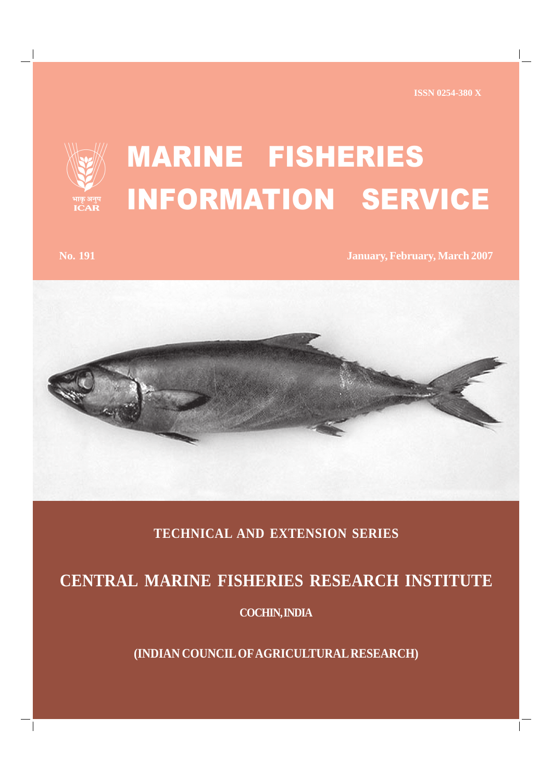

## MARINE FISHERIES INFORMATION SERVICE

**No. 191 January, February, March 2007**



## **TECHNICAL AND EXTENSION SERIES**

## **CENTRAL MARINE FISHERIES RESEARCH INSTITUTE**

**COCHIN, INDIA**

**(INDIAN COUNCIL OF AGRICULTURAL RESEARCH)**